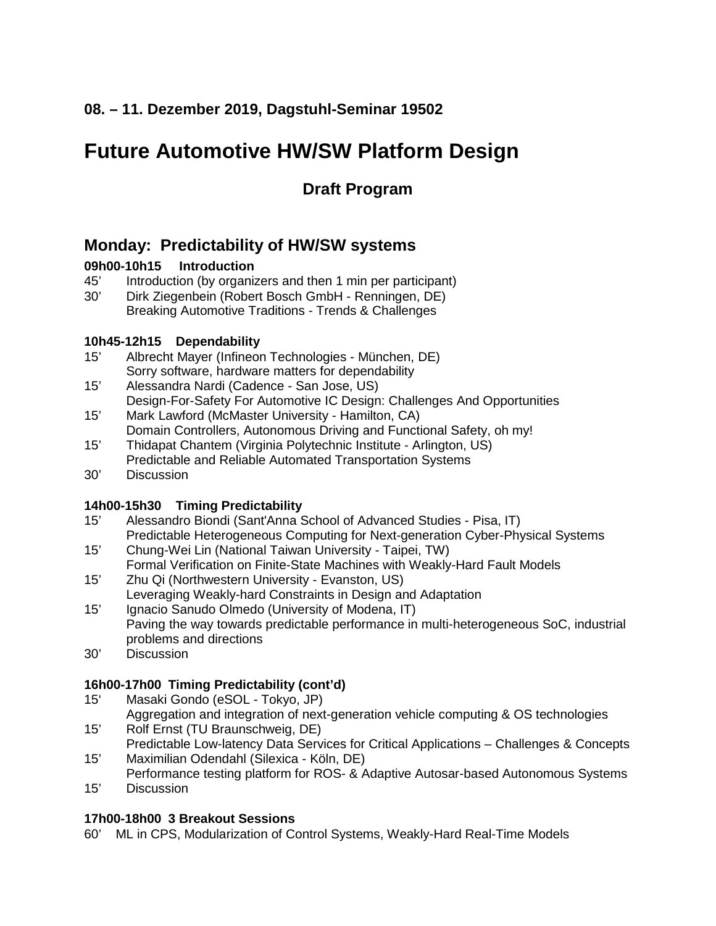### **08. – 11. Dezember 2019, Dagstuhl-Seminar 19502**

## **Future Automotive HW/SW Platform Design**

## **Draft Program**

## **Monday: Predictability of HW/SW systems**

#### **09h00-10h15 Introduction**

- 45' Introduction (by organizers and then 1 min per participant)<br>30' Dirk Ziegenbein (Robert Bosch GmbH Renningen, DE)
- Dirk Ziegenbein (Robert Bosch GmbH Renningen, DE) Breaking Automotive Traditions - Trends & Challenges

# **10h45-12h15 Dependability**

- Albrecht Mayer (Infineon Technologies München, DE) Sorry software, hardware matters for dependability
- 15' Alessandra Nardi (Cadence San Jose, US) Design-For-Safety For Automotive IC Design: Challenges And Opportunities 15' Mark Lawford (McMaster University - Hamilton, CA)
- Domain Controllers, Autonomous Driving and Functional Safety, oh my!
- 15' Thidapat Chantem (Virginia Polytechnic Institute Arlington, US) Predictable and Reliable Automated Transportation Systems
- 30' Discussion

#### **14h00-15h30 Timing Predictability**

- 15' Alessandro Biondi (Sant'Anna School of Advanced Studies Pisa, IT) Predictable Heterogeneous Computing for Next-generation Cyber-Physical Systems
- 15' Chung-Wei Lin (National Taiwan University Taipei, TW) Formal Verification on Finite-State Machines with Weakly-Hard Fault Models
- 15' Zhu Qi (Northwestern University Evanston, US) Leveraging Weakly-hard Constraints in Design and Adaptation
- 15' Ignacio Sanudo Olmedo (University of Modena, IT) Paving the way towards predictable performance in multi-heterogeneous SoC, industrial problems and directions
- 30' Discussion

#### **16h00-17h00 Timing Predictability (cont'd)**

- 15' Masaki Gondo (eSOL Tokyo, JP)
- Aggregation and integration of next-generation vehicle computing & OS technologies 15' Rolf Ernst (TU Braunschweig, DE)
- Predictable Low-latency Data Services for Critical Applications Challenges & Concepts 15' Maximilian Odendahl (Silexica - Köln, DE)
- Performance testing platform for ROS- & Adaptive Autosar-based Autonomous Systems 15' Discussion

#### **17h00-18h00 3 Breakout Sessions**

60' ML in CPS, Modularization of Control Systems, Weakly-Hard Real-Time Models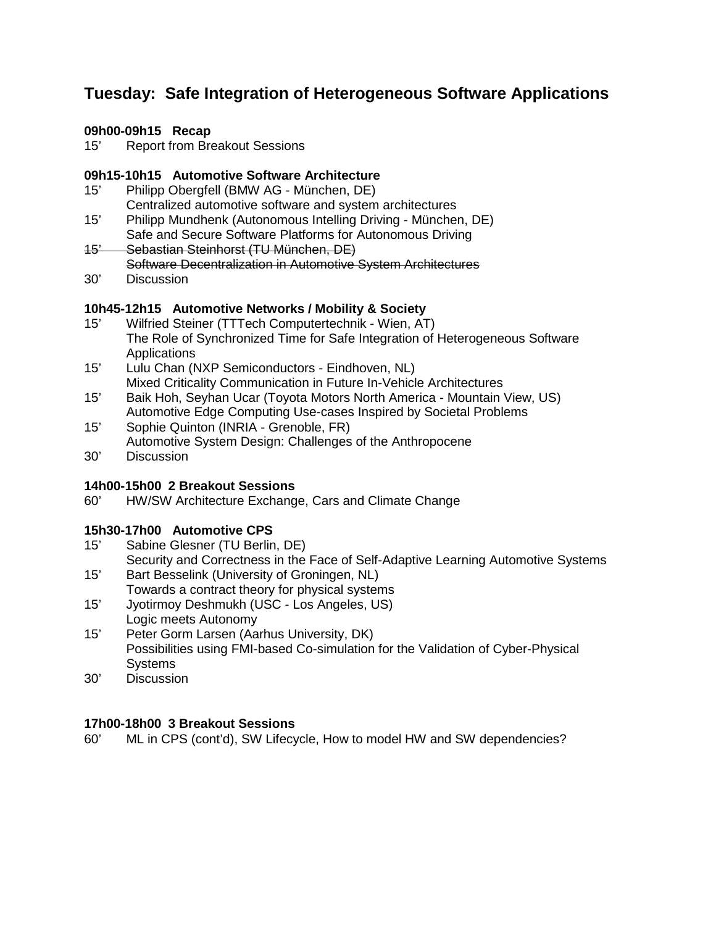## **Tuesday: Safe Integration of Heterogeneous Software Applications**

#### **09h00-09h15 Recap**

15' Report from Breakout Sessions

## **09h15-10h15 Automotive Software Architecture**

- Philipp Obergfell (BMW AG München, DE) Centralized automotive software and system architectures
- 15' Philipp Mundhenk (Autonomous Intelling Driving München, DE)
- Safe and Secure Software Platforms for Autonomous Driving 15' Sebastian Steinhorst (TU München, DE)
	- Software Decentralization in Automotive System Architectures
- 30' Discussion

#### **10h45-12h15 Automotive Networks / Mobility & Society**

- 15' Wilfried Steiner (TTTech Computertechnik Wien, AT) The Role of Synchronized Time for Safe Integration of Heterogeneous Software **Applications**
- 15' Lulu Chan (NXP Semiconductors Eindhoven, NL) Mixed Criticality Communication in Future In-Vehicle Architectures
- 15' Baik Hoh, Seyhan Ucar (Toyota Motors North America Mountain View, US) Automotive Edge Computing Use-cases Inspired by Societal Problems
- 15' Sophie Quinton (INRIA Grenoble, FR) Automotive System Design: Challenges of the Anthropocene
- 30' Discussion

## **14h00-15h00 2 Breakout Sessions**

HW/SW Architecture Exchange, Cars and Climate Change

#### **15h30-17h00 Automotive CPS**

15' Sabine Glesner (TU Berlin, DE)

Security and Correctness in the Face of Self-Adaptive Learning Automotive Systems 15' Bart Besselink (University of Groningen, NL)

- Towards a contract theory for physical systems 15' Jyotirmoy Deshmukh (USC - Los Angeles, US)
- Logic meets Autonomy
- 15' Peter Gorm Larsen (Aarhus University, DK) Possibilities using FMI-based Co-simulation for the Validation of Cyber-Physical **Systems**
- 30' Discussion

#### **17h00-18h00 3 Breakout Sessions**

60' ML in CPS (cont'd), SW Lifecycle, How to model HW and SW dependencies?